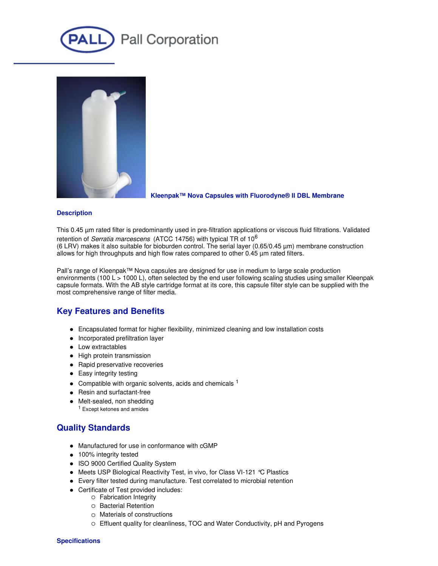



**Kleenpak™ Nova Capsules with Fluorodyne® II DBL Membrane**

#### **Description**

This 0.45 µm rated filter is predominantly used in pre-filtration applications or viscous fluid filtrations. Validated retention of *Serratia marcescens* (ATCC 14756) with typical TR of 10 6 (6 LRV) makes it also suitable for bioburden control. The serial layer (0.65/0.45 µm) membrane construction allows for high throughputs and high flow rates compared to other 0.45 µm rated filters.

Pall's range of Kleenpak™ Nova capsules are designed for use in medium to large scale production environments (100 L > 1000 L), often selected by the end user following scaling studies using smaller Kleenpak capsule formats. With the AB style cartridge format at its core, this capsule filter style can be supplied with the most comprehensive range of filter media.

### **Key Features and Benefits**

- Encapsulated format for higher flexibility, minimized cleaning and low installation costs
- Incorporated prefiltration layer
- Low extractables
- High protein transmission
- Rapid preservative recoveries
- Easy integrity testing
- $\bullet$  Compatible with organic solvents, acids and chemicals  $^1$
- Resin and surfactant-free
- Melt-sealed, non shedding <sup>1</sup> Except ketones and amides

## **Quality Standards**

- Manufactured for use in conformance with cGMP
- 100% integrity tested
- ISO 9000 Certified Quality System
- Meets USP Biological Reactivity Test, in vivo, for Class VI-121 °C Plastics
- Every filter tested during manufacture. Test correlated to microbial retention
- Certificate of Test provided includes:
	- o Fabrication Integrity
	- Bacterial Retention
	- Materials of constructions
	- Effluent quality for cleanliness, TOC and Water Conductivity, pH and Pyrogens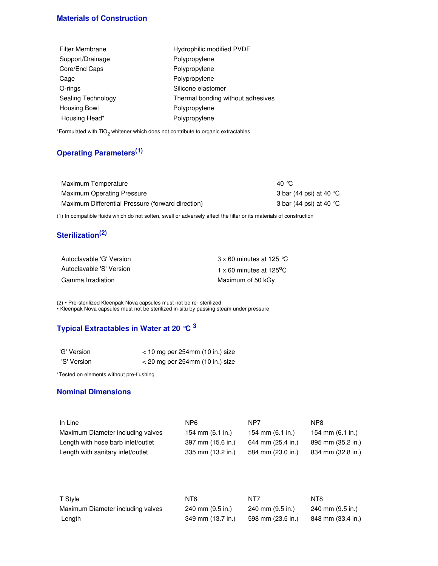#### **Materials of Construction**

| Filter Membrane    | Hydrophilic modified PVDF         |
|--------------------|-----------------------------------|
| Support/Drainage   | Polypropylene                     |
| Core/End Caps      | Polypropylene                     |
| Cage               | Polypropylene                     |
| O-rings            | Silicone elastomer                |
| Sealing Technology | Thermal bonding without adhesives |
| Housing Bowl       | Polypropylene                     |
| Housing Head*      | Polypropylene                     |

\*Formulated with TiO<sub>2</sub> whitener which does not contribute to organic extractables

### **Operating Parameters (1)**

| Maximum Temperature                               | .40 °C                            |
|---------------------------------------------------|-----------------------------------|
| Maximum Operating Pressure                        | 3 bar (44 psi) at 40 °C           |
| Maximum Differential Pressure (forward direction) | 3 bar (44 psi) at 40 $^{\circ}$ C |

(1) In compatible fluids which do not soften, swell or adversely affect the filter or its materials of construction

### **Sterilization (2)**

| Autoclavable 'G' Version | $3 \times 60$ minutes at 125 °C            |
|--------------------------|--------------------------------------------|
| Autoclavable 'S' Version | 1 x 60 minutes at 125 $\mathrm{^{\circ}C}$ |
| Gamma Irradiation        | Maximum of 50 kGy                          |

(2) • Pre-sterilized Kleenpak Nova capsules must not be re- sterilized

• Kleenpak Nova capsules must not be sterilized in-situ by passing steam under pressure

### **Typical Extractables in Water at 20 °C 3**

| 'G' Version | $<$ 10 mg per 254mm (10 in.) size |
|-------------|-----------------------------------|
| 'S' Version | $<$ 20 mg per 254mm (10 in.) size |

\*Tested on elements without pre-flushing

#### **Nominal Dimensions**

| In Line                            | NP6                        | NP7                        | NP8                |
|------------------------------------|----------------------------|----------------------------|--------------------|
| Maximum Diameter including valves  | 154 mm $(6.1 \text{ in.})$ | 154 mm $(6.1 \text{ in.})$ | 154 mm $(6.1$ in.) |
| Length with hose barb inlet/outlet | 397 mm (15.6 in.)          | 644 mm (25.4 in.)          | 895 mm (35.2 in.)  |
| Length with sanitary inlet/outlet  | 335 mm (13.2 in.)          | 584 mm (23.0 in.)          | 834 mm (32.8 in.)  |

| T Style                           | NT6                  | NT7               | NT8               |
|-----------------------------------|----------------------|-------------------|-------------------|
| Maximum Diameter including valves | $240$ mm $(9.5$ in.) | 240 mm (9.5 in.)  | 240 mm (9.5 in.)  |
| Length                            | 349 mm (13.7 in.)    | 598 mm (23.5 in.) | 848 mm (33.4 in.) |